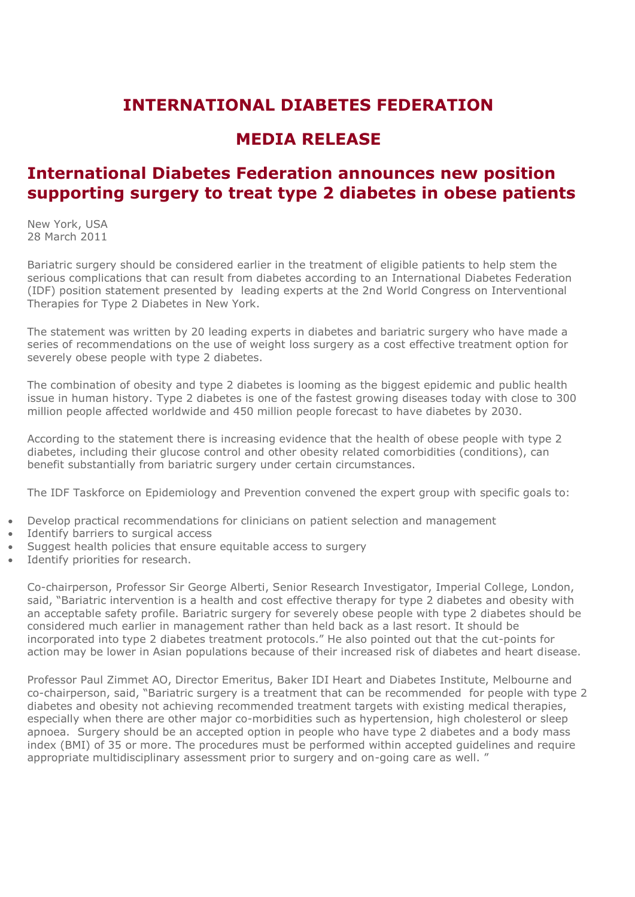## **INTERNATIONAL DIABETES FEDERATION**

## **MEDIA RELEASE**

## **International Diabetes Federation announces new position supporting surgery to treat type 2 diabetes in obese patients**

New York, USA 28 March 2011

Bariatric surgery should be considered earlier in the treatment of eligible patients to help stem the serious complications that can result from diabetes according to an [International Diabetes Federation](http://www.idf.org/webdata/docs/IDF-Position-Statement-Bariatric-Surgery.pdf)  [\(IDF\) position statement p](http://www.idf.org/webdata/docs/IDF-Position-Statement-Bariatric-Surgery.pdf)resented by leading experts at the 2nd World Congress on Interventional Therapies for Type 2 Diabetes in New York.

The statement was written by 20 leading experts in diabetes and bariatric surgery who have made a series of recommendations on the use of weight loss surgery as a cost effective treatment option for severely obese people with type 2 diabetes.

The combination of obesity and type 2 diabetes is looming as the biggest epidemic and public health issue in human history. Type 2 diabetes is one of the fastest growing diseases today with close to 300 million people affected worldwide and 450 million people forecast to have diabetes by 2030.

According to the statement there is increasing evidence that the health of obese people with type 2 diabetes, including their glucose control and other obesity related comorbidities (conditions), can benefit substantially from bariatric surgery under certain circumstances.

The IDF Taskforce on Epidemiology and Prevention convened the expert group with specific goals to:

- Develop practical recommendations for clinicians on patient selection and management
- Identify barriers to surgical access
- Suggest health policies that ensure equitable access to surgery
- Identify priorities for research.

Co-chairperson, Professor Sir George Alberti, Senior Research Investigator, Imperial College, London, said, "Bariatric intervention is a health and cost effective therapy for type 2 diabetes and obesity with an acceptable safety profile. Bariatric surgery for severely obese people with type 2 diabetes should be considered much earlier in management rather than held back as a last resort. It should be incorporated into type 2 diabetes treatment protocols." He also pointed out that the cut-points for action may be lower in Asian populations because of their increased risk of diabetes and heart disease.

Professor Paul Zimmet AO, Director Emeritus, Baker IDI Heart and Diabetes Institute, Melbourne and co-chairperson, said, "Bariatric surgery is a treatment that can be recommended for people with type 2 diabetes and obesity not achieving recommended treatment targets with existing medical therapies, especially when there are other major co-morbidities such as hypertension, high cholesterol or sleep apnoea. Surgery should be an accepted option in people who have type 2 diabetes and a body mass index (BMI) of 35 or more. The procedures must be performed within accepted guidelines and require appropriate multidisciplinary assessment prior to surgery and on-going care as well. "